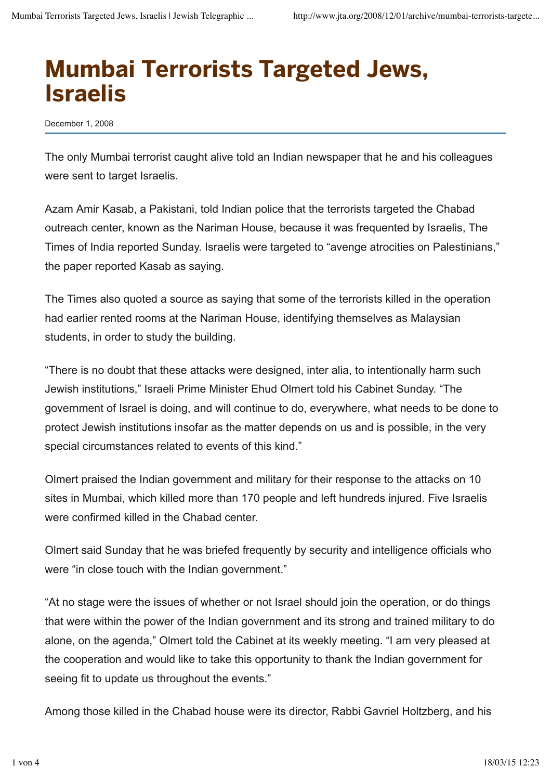## Mumbai Terrorists Targeted Jews, Israelis

December 1, 2008

The only Mumbai terrorist caught alive told an Indian newspaper that he and his colleagues were sent to target Israelis.

Azam Amir Kasab, a Pakistani, told Indian police that the terrorists targeted the Chabad outreach center, known as the Nariman House, because it was frequented by Israelis, The Times of India reported Sunday. Israelis were targeted to "avenge atrocities on Palestinians," the paper reported Kasab as saying.

The Times also quoted a source as saying that some of the terrorists killed in the operation had earlier rented rooms at the Nariman House, identifying themselves as Malaysian students, in order to study the building.

"There is no doubt that these attacks were designed, inter alia, to intentionally harm such Jewish institutions," Israeli Prime Minister Ehud Olmert told his Cabinet Sunday. "The government of Israel is doing, and will continue to do, everywhere, what needs to be done to protect Jewish institutions insofar as the matter depends on us and is possible, in the very special circumstances related to events of this kind."

Olmert praised the Indian government and military for their response to the attacks on 10 sites in Mumbai, which killed more than 170 people and left hundreds injured. Five Israelis were confirmed killed in the Chabad center.

Olmert said Sunday that he was briefed frequently by security and intelligence officials who were "in close touch with the Indian government."

"At no stage were the issues of whether or not Israel should join the operation, or do things that were within the power of the Indian government and its strong and trained military to do alone, on the agenda," Olmert told the Cabinet at its weekly meeting. "I am very pleased at the cooperation and would like to take this opportunity to thank the Indian government for seeing fit to update us throughout the events."

Among those killed in the Chabad house were its director, Rabbi Gavriel Holtzberg, and his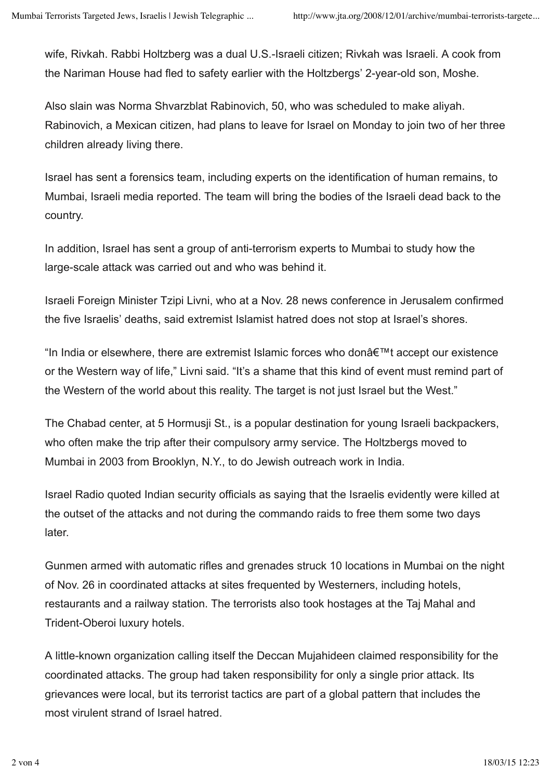wife, Rivkah. Rabbi Holtzberg was a dual U.S.-Israeli citizen; Rivkah was Israeli. A cook from the Nariman House had fled to safety earlier with the Holtzbergs' 2-year-old son, Moshe.

Also slain was Norma Shvarzblat Rabinovich, 50, who was scheduled to make aliyah. Rabinovich, a Mexican citizen, had plans to leave for Israel on Monday to join two of her three children already living there.

Israel has sent a forensics team, including experts on the identification of human remains, to Mumbai, Israeli media reported. The team will bring the bodies of the Israeli dead back to the country.

In addition, Israel has sent a group of anti-terrorism experts to Mumbai to study how the large-scale attack was carried out and who was behind it.

Israeli Foreign Minister Tzipi Livni, who at a Nov. 28 news conference in Jerusalem confirmed the five Israelis' deaths, said extremist Islamist hatred does not stop at Israel's shores.

"In India or elsewhere, there are extremist Islamic forces who donâ€™t accept our existence or the Western way of life," Livni said. "It's a shame that this kind of event must remind part of the Western of the world about this reality. The target is not just Israel but the West."

The Chabad center, at 5 Hormusji St., is a popular destination for young Israeli backpackers, who often make the trip after their compulsory army service. The Holtzbergs moved to Mumbai in 2003 from Brooklyn, N.Y., to do Jewish outreach work in India.

Israel Radio quoted Indian security officials as saying that the Israelis evidently were killed at the outset of the attacks and not during the commando raids to free them some two days later.

Gunmen armed with automatic rifles and grenades struck 10 locations in Mumbai on the night of Nov. 26 in coordinated attacks at sites frequented by Westerners, including hotels, restaurants and a railway station. The terrorists also took hostages at the Taj Mahal and Trident-Oberoi luxury hotels.

A little-known organization calling itself the Deccan Mujahideen claimed responsibility for the coordinated attacks. The group had taken responsibility for only a single prior attack. Its grievances were local, but its terrorist tactics are part of a global pattern that includes the most virulent strand of Israel hatred.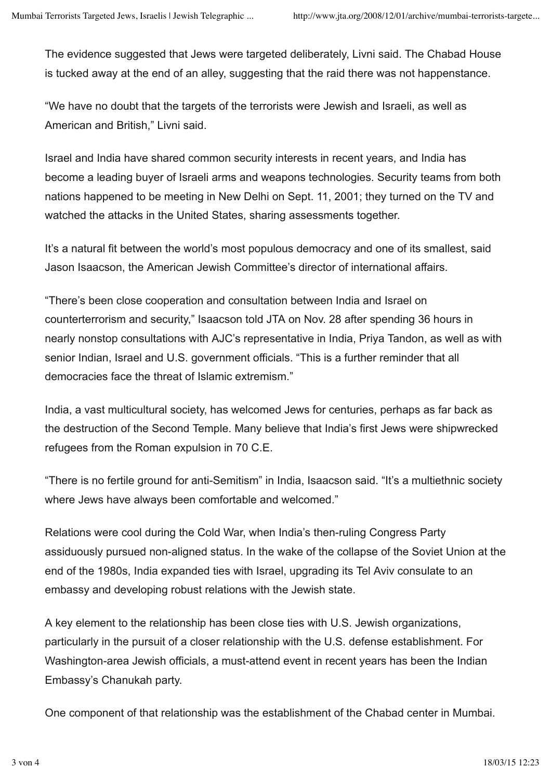The evidence suggested that Jews were targeted deliberately, Livni said. The Chabad House is tucked away at the end of an alley, suggesting that the raid there was not happenstance.

"We have no doubt that the targets of the terrorists were Jewish and Israeli, as well as American and British," Livni said.

Israel and India have shared common security interests in recent years, and India has become a leading buyer of Israeli arms and weapons technologies. Security teams from both nations happened to be meeting in New Delhi on Sept. 11, 2001; they turned on the TV and watched the attacks in the United States, sharing assessments together.

It's a natural fit between the world's most populous democracy and one of its smallest, said Jason Isaacson, the American Jewish Committee's director of international affairs.

"There's been close cooperation and consultation between India and Israel on counterterrorism and security," Isaacson told JTA on Nov. 28 after spending 36 hours in nearly nonstop consultations with AJC's representative in India, Priya Tandon, as well as with senior Indian, Israel and U.S. government officials. "This is a further reminder that all democracies face the threat of Islamic extremism."

India, a vast multicultural society, has welcomed Jews for centuries, perhaps as far back as the destruction of the Second Temple. Many believe that India's first Jews were shipwrecked refugees from the Roman expulsion in 70 C.E.

"There is no fertile ground for anti-Semitism" in India, Isaacson said. "It's a multiethnic society where Jews have always been comfortable and welcomed."

Relations were cool during the Cold War, when India's then-ruling Congress Party assiduously pursued non-aligned status. In the wake of the collapse of the Soviet Union at the end of the 1980s, India expanded ties with Israel, upgrading its Tel Aviv consulate to an embassy and developing robust relations with the Jewish state.

A key element to the relationship has been close ties with U.S. Jewish organizations, particularly in the pursuit of a closer relationship with the U.S. defense establishment. For Washington-area Jewish officials, a must-attend event in recent years has been the Indian Embassy's Chanukah party.

One component of that relationship was the establishment of the Chabad center in Mumbai.